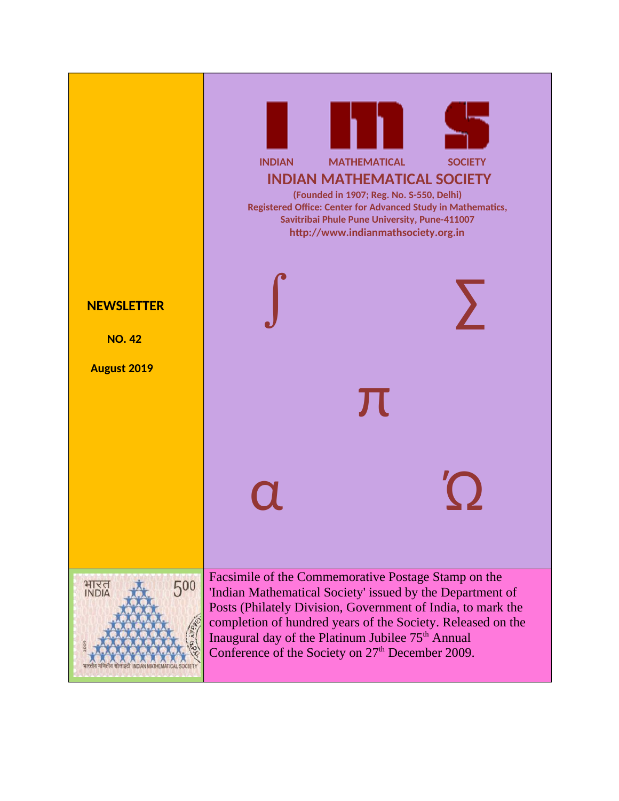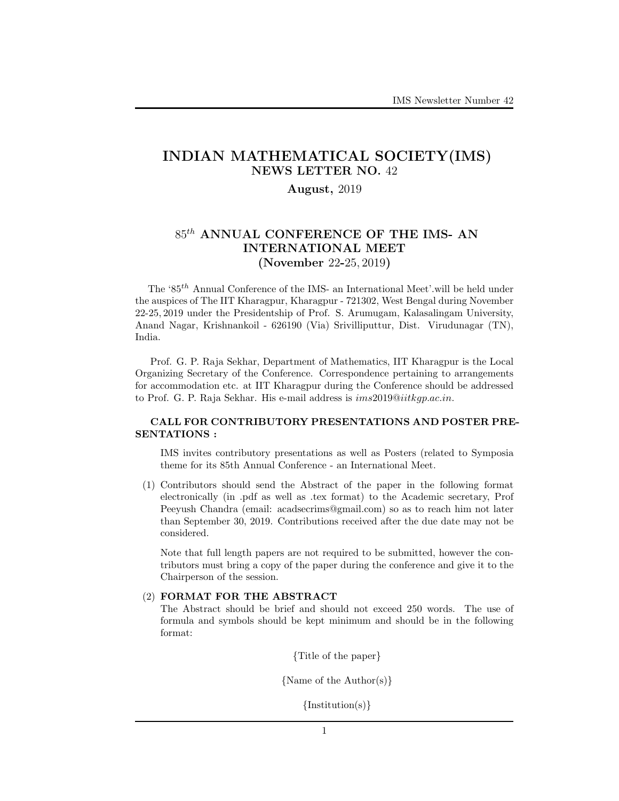# INDIAN MATHEMATICAL SOCIETY(IMS) NEWS LETTER NO. 42

## August, 2019

# $85^{th}$  ANNUAL CONFERENCE OF THE IMS-AN INTERNATIONAL MEET (November 22-25, 2019)

The ' $85^{th}$  Annual Conference of the IMS- an International Meet'.will be held under the auspices of The IIT Kharagpur, Kharagpur - 721302, West Bengal during November 22-25, 2019 under the Presidentship of Prof. S. Arumugam, Kalasalingam University, Anand Nagar, Krishnankoil - 626190 (Via) Srivilliputtur, Dist. Virudunagar (TN), India.

Prof. G. P. Raja Sekhar, Department of Mathematics, IIT Kharagpur is the Local Organizing Secretary of the Conference. Correspondence pertaining to arrangements for accommodation etc. at IIT Kharagpur during the Conference should be addressed to Prof. G. P. Raja Sekhar. His e-mail address is  $ims2019@iitkqp.ac.in.$ 

## CALL FOR CONTRIBUTORY PRESENTATIONS AND POSTER PRE-SENTATIONS :

IMS invites contributory presentations as well as Posters (related to Symposia theme for its 85th Annual Conference - an International Meet.

(1) Contributors should send the Abstract of the paper in the following format electronically (in .pdf as well as .tex format) to the Academic secretary, Prof Peeyush Chandra (email: acadsecrims@gmail.com) so as to reach him not later than September 30, 2019. Contributions received after the due date may not be considered.

Note that full length papers are not required to be submitted, however the contributors must bring a copy of the paper during the conference and give it to the Chairperson of the session.

## (2) FORMAT FOR THE ABSTRACT

The Abstract should be brief and should not exceed 250 words. The use of formula and symbols should be kept minimum and should be in the following format:

{Title of the paper}

{Name of the Author(s)}

 $\{Institution(s)\}\$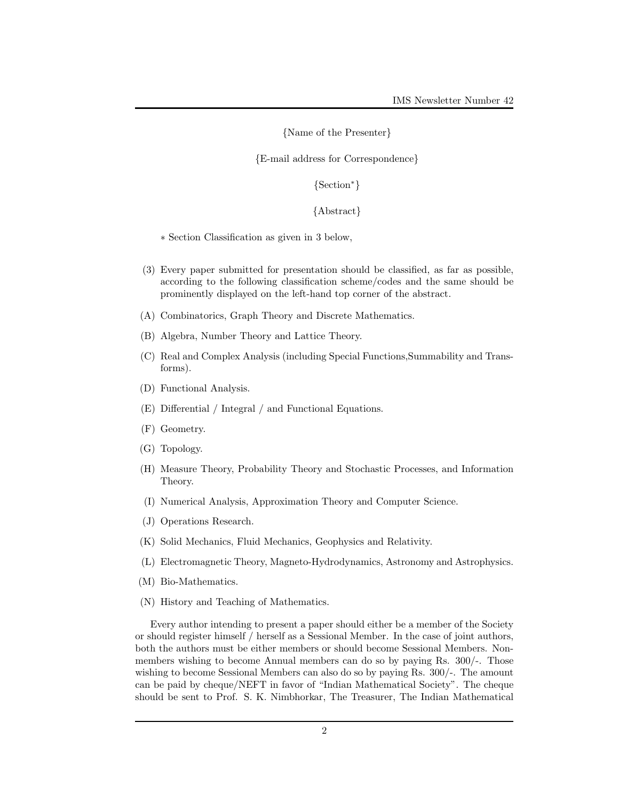{Name of the Presenter}

{E-mail address for Correspondence}

{Section<sup>∗</sup>}

{Abstract}

∗ Section Classification as given in 3 below,

- (3) Every paper submitted for presentation should be classified, as far as possible, according to the following classification scheme/codes and the same should be prominently displayed on the left-hand top corner of the abstract.
- (A) Combinatorics, Graph Theory and Discrete Mathematics.
- (B) Algebra, Number Theory and Lattice Theory.
- (C) Real and Complex Analysis (including Special Functions,Summability and Transforms).
- (D) Functional Analysis.
- (E) Differential / Integral / and Functional Equations.
- (F) Geometry.
- (G) Topology.
- (H) Measure Theory, Probability Theory and Stochastic Processes, and Information Theory.
- (I) Numerical Analysis, Approximation Theory and Computer Science.
- (J) Operations Research.
- (K) Solid Mechanics, Fluid Mechanics, Geophysics and Relativity.
- (L) Electromagnetic Theory, Magneto-Hydrodynamics, Astronomy and Astrophysics.
- (M) Bio-Mathematics.
- (N) History and Teaching of Mathematics.

Every author intending to present a paper should either be a member of the Society or should register himself / herself as a Sessional Member. In the case of joint authors, both the authors must be either members or should become Sessional Members. Nonmembers wishing to become Annual members can do so by paying Rs. 300/-. Those wishing to become Sessional Members can also do so by paying Rs. 300/-. The amount can be paid by cheque/NEFT in favor of "Indian Mathematical Society". The cheque should be sent to Prof. S. K. Nimbhorkar, The Treasurer, The Indian Mathematical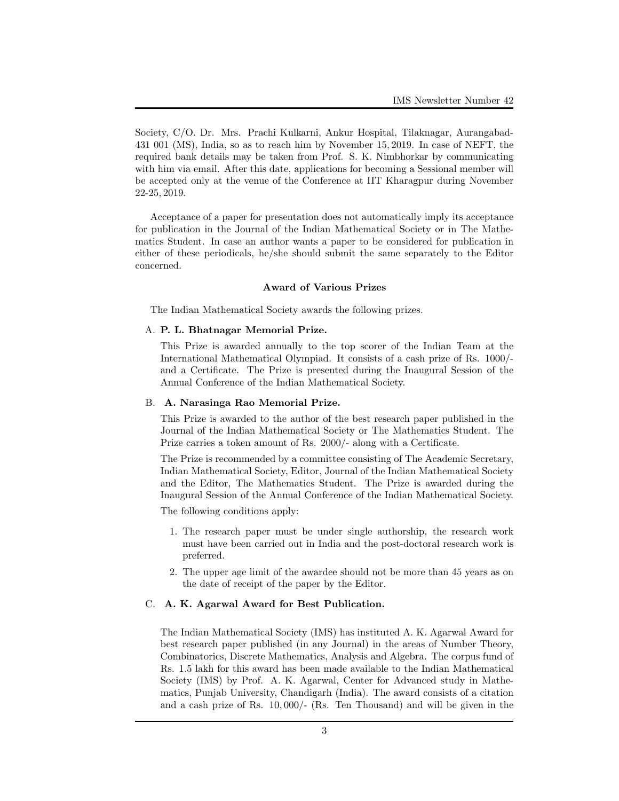Society, C/O. Dr. Mrs. Prachi Kulkarni, Ankur Hospital, Tilaknagar, Aurangabad-431 001 (MS), India, so as to reach him by November 15, 2019. In case of NEFT, the required bank details may be taken from Prof. S. K. Nimbhorkar by communicating with him via email. After this date, applications for becoming a Sessional member will be accepted only at the venue of the Conference at IIT Kharagpur during November 22-25, 2019.

Acceptance of a paper for presentation does not automatically imply its acceptance for publication in the Journal of the Indian Mathematical Society or in The Mathematics Student. In case an author wants a paper to be considered for publication in either of these periodicals, he/she should submit the same separately to the Editor concerned.

### Award of Various Prizes

The Indian Mathematical Society awards the following prizes.

### A. P. L. Bhatnagar Memorial Prize.

This Prize is awarded annually to the top scorer of the Indian Team at the International Mathematical Olympiad. It consists of a cash prize of Rs. 1000/ and a Certificate. The Prize is presented during the Inaugural Session of the Annual Conference of the Indian Mathematical Society.

#### B. A. Narasinga Rao Memorial Prize.

This Prize is awarded to the author of the best research paper published in the Journal of the Indian Mathematical Society or The Mathematics Student. The Prize carries a token amount of Rs. 2000/- along with a Certificate.

The Prize is recommended by a committee consisting of The Academic Secretary, Indian Mathematical Society, Editor, Journal of the Indian Mathematical Society and the Editor, The Mathematics Student. The Prize is awarded during the Inaugural Session of the Annual Conference of the Indian Mathematical Society.

The following conditions apply:

- 1. The research paper must be under single authorship, the research work must have been carried out in India and the post-doctoral research work is preferred.
- 2. The upper age limit of the awardee should not be more than 45 years as on the date of receipt of the paper by the Editor.

### C. A. K. Agarwal Award for Best Publication.

The Indian Mathematical Society (IMS) has instituted A. K. Agarwal Award for best research paper published (in any Journal) in the areas of Number Theory, Combinatorics, Discrete Mathematics, Analysis and Algebra. The corpus fund of Rs. 1.5 lakh for this award has been made available to the Indian Mathematical Society (IMS) by Prof. A. K. Agarwal, Center for Advanced study in Mathematics, Punjab University, Chandigarh (India). The award consists of a citation and a cash prize of Rs. 10, 000/- (Rs. Ten Thousand) and will be given in the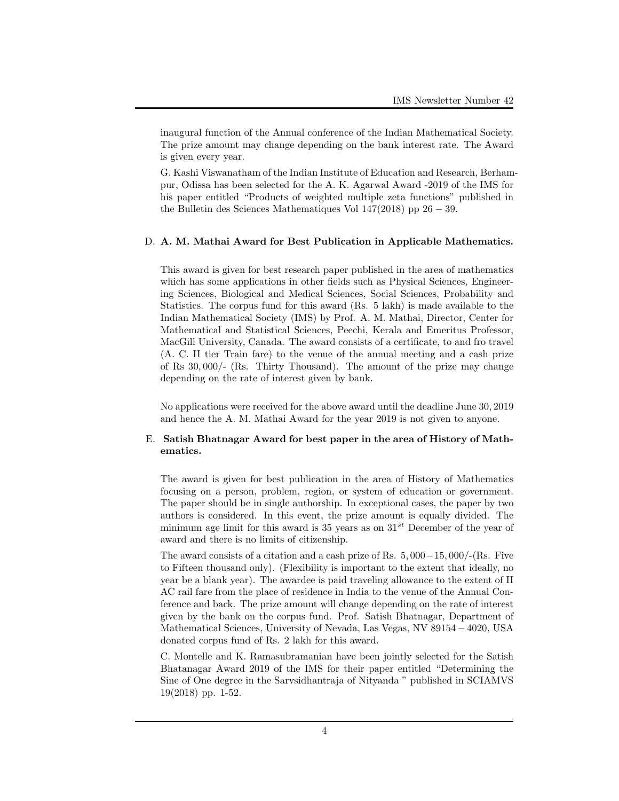inaugural function of the Annual conference of the Indian Mathematical Society. The prize amount may change depending on the bank interest rate. The Award is given every year.

G. Kashi Viswanatham of the Indian Institute of Education and Research, Berhampur, Odissa has been selected for the A. K. Agarwal Award -2019 of the IMS for his paper entitled "Products of weighted multiple zeta functions" published in the Bulletin des Sciences Mathematiques Vol  $147(2018)$  pp  $26 - 39$ .

#### D. A. M. Mathai Award for Best Publication in Applicable Mathematics.

This award is given for best research paper published in the area of mathematics which has some applications in other fields such as Physical Sciences, Engineering Sciences, Biological and Medical Sciences, Social Sciences, Probability and Statistics. The corpus fund for this award (Rs. 5 lakh) is made available to the Indian Mathematical Society (IMS) by Prof. A. M. Mathai, Director, Center for Mathematical and Statistical Sciences, Peechi, Kerala and Emeritus Professor, MacGill University, Canada. The award consists of a certificate, to and fro travel (A. C. II tier Train fare) to the venue of the annual meeting and a cash prize of Rs 30, 000/- (Rs. Thirty Thousand). The amount of the prize may change depending on the rate of interest given by bank.

No applications were received for the above award until the deadline June 30, 2019 and hence the A. M. Mathai Award for the year 2019 is not given to anyone.

## E. Satish Bhatnagar Award for best paper in the area of History of Mathematics.

The award is given for best publication in the area of History of Mathematics focusing on a person, problem, region, or system of education or government. The paper should be in single authorship. In exceptional cases, the paper by two authors is considered. In this event, the prize amount is equally divided. The minimum age limit for this award is 35 years as on  $31^{st}$  December of the year of award and there is no limits of citizenship.

The award consists of a citation and a cash prize of Rs. 5, 000−15, 000/-(Rs. Five to Fifteen thousand only). (Flexibility is important to the extent that ideally, no year be a blank year). The awardee is paid traveling allowance to the extent of II AC rail fare from the place of residence in India to the venue of the Annual Conference and back. The prize amount will change depending on the rate of interest given by the bank on the corpus fund. Prof. Satish Bhatnagar, Department of Mathematical Sciences, University of Nevada, Las Vegas, NV 89154 −4020, USA donated corpus fund of Rs. 2 lakh for this award.

C. Montelle and K. Ramasubramanian have been jointly selected for the Satish Bhatanagar Award 2019 of the IMS for their paper entitled "Determining the Sine of One degree in the Sarvsidhantraja of Nityanda " published in SCIAMVS 19(2018) pp. 1-52.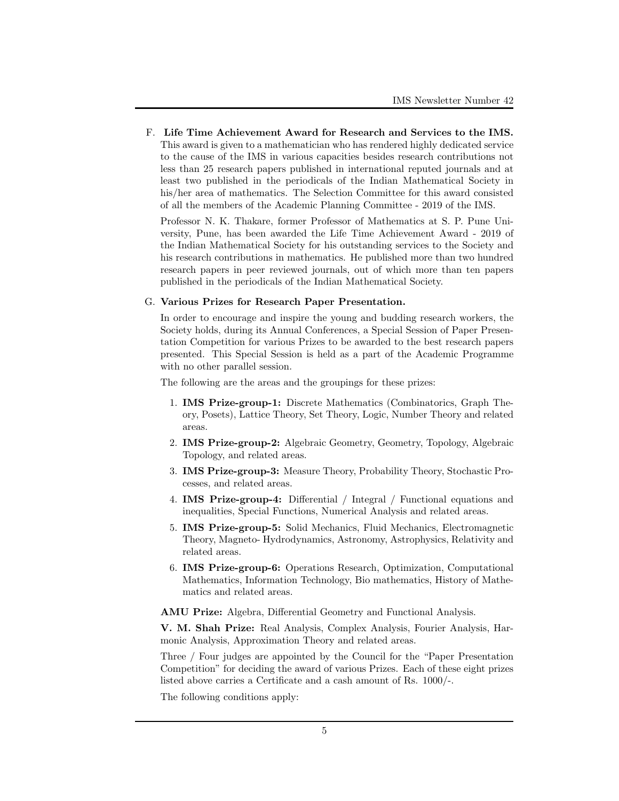F. Life Time Achievement Award for Research and Services to the IMS. This award is given to a mathematician who has rendered highly dedicated service to the cause of the IMS in various capacities besides research contributions not less than 25 research papers published in international reputed journals and at least two published in the periodicals of the Indian Mathematical Society in his/her area of mathematics. The Selection Committee for this award consisted of all the members of the Academic Planning Committee - 2019 of the IMS.

Professor N. K. Thakare, former Professor of Mathematics at S. P. Pune University, Pune, has been awarded the Life Time Achievement Award - 2019 of the Indian Mathematical Society for his outstanding services to the Society and his research contributions in mathematics. He published more than two hundred research papers in peer reviewed journals, out of which more than ten papers published in the periodicals of the Indian Mathematical Society.

### G. Various Prizes for Research Paper Presentation.

In order to encourage and inspire the young and budding research workers, the Society holds, during its Annual Conferences, a Special Session of Paper Presentation Competition for various Prizes to be awarded to the best research papers presented. This Special Session is held as a part of the Academic Programme with no other parallel session.

The following are the areas and the groupings for these prizes:

- 1. IMS Prize-group-1: Discrete Mathematics (Combinatorics, Graph Theory, Posets), Lattice Theory, Set Theory, Logic, Number Theory and related areas.
- 2. IMS Prize-group-2: Algebraic Geometry, Geometry, Topology, Algebraic Topology, and related areas.
- 3. IMS Prize-group-3: Measure Theory, Probability Theory, Stochastic Processes, and related areas.
- 4. IMS Prize-group-4: Differential / Integral / Functional equations and inequalities, Special Functions, Numerical Analysis and related areas.
- 5. IMS Prize-group-5: Solid Mechanics, Fluid Mechanics, Electromagnetic Theory, Magneto- Hydrodynamics, Astronomy, Astrophysics, Relativity and related areas.
- 6. IMS Prize-group-6: Operations Research, Optimization, Computational Mathematics, Information Technology, Bio mathematics, History of Mathematics and related areas.

AMU Prize: Algebra, Differential Geometry and Functional Analysis.

V. M. Shah Prize: Real Analysis, Complex Analysis, Fourier Analysis, Harmonic Analysis, Approximation Theory and related areas.

Three / Four judges are appointed by the Council for the "Paper Presentation Competition" for deciding the award of various Prizes. Each of these eight prizes listed above carries a Certificate and a cash amount of Rs. 1000/-.

The following conditions apply: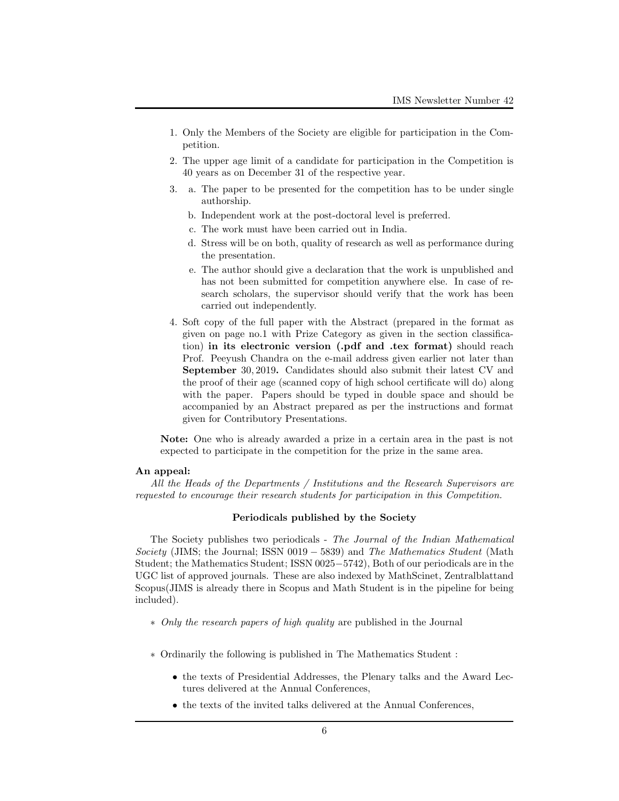- 1. Only the Members of the Society are eligible for participation in the Competition.
- 2. The upper age limit of a candidate for participation in the Competition is 40 years as on December 31 of the respective year.
- 3. a. The paper to be presented for the competition has to be under single authorship.
	- b. Independent work at the post-doctoral level is preferred.
	- c. The work must have been carried out in India.
	- d. Stress will be on both, quality of research as well as performance during the presentation.
	- e. The author should give a declaration that the work is unpublished and has not been submitted for competition anywhere else. In case of research scholars, the supervisor should verify that the work has been carried out independently.
- 4. Soft copy of the full paper with the Abstract (prepared in the format as given on page no.1 with Prize Category as given in the section classification) in its electronic version (.pdf and .tex format) should reach Prof. Peeyush Chandra on the e-mail address given earlier not later than September 30, 2019. Candidates should also submit their latest CV and the proof of their age (scanned copy of high school certificate will do) along with the paper. Papers should be typed in double space and should be accompanied by an Abstract prepared as per the instructions and format given for Contributory Presentations.

Note: One who is already awarded a prize in a certain area in the past is not expected to participate in the competition for the prize in the same area.

#### An appeal:

All the Heads of the Departments / Institutions and the Research Supervisors are requested to encourage their research students for participation in this Competition.

### Periodicals published by the Society

The Society publishes two periodicals - The Journal of the Indian Mathematical Society (JIMS; the Journal; ISSN 0019  $-$  5839) and The Mathematics Student (Math Student; the Mathematics Student; ISSN 0025−5742), Both of our periodicals are in the UGC list of approved journals. These are also indexed by MathScinet, Zentralblattand Scopus(JIMS is already there in Scopus and Math Student is in the pipeline for being included).

- ∗ Only the research papers of high quality are published in the Journal
- ∗ Ordinarily the following is published in The Mathematics Student :
	- the texts of Presidential Addresses, the Plenary talks and the Award Lectures delivered at the Annual Conferences,
	- the texts of the invited talks delivered at the Annual Conferences,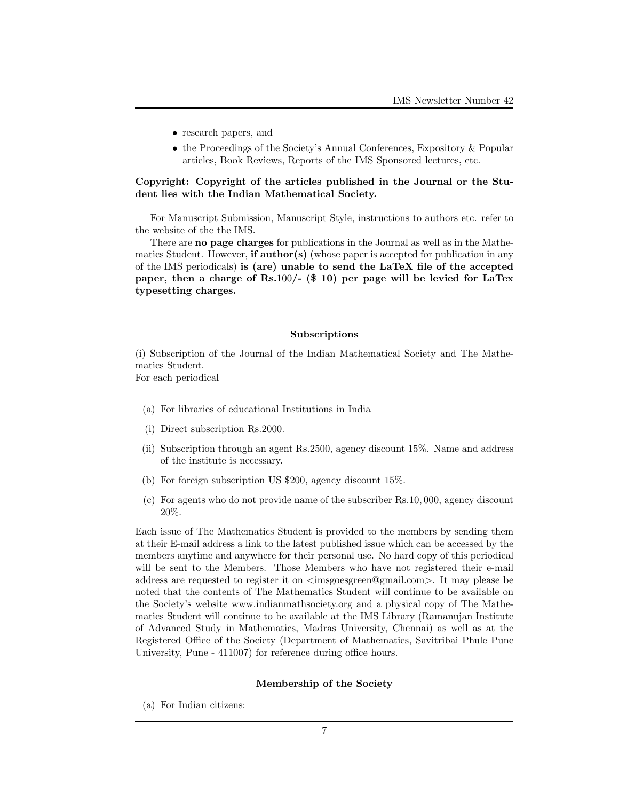- research papers, and
- the Proceedings of the Society's Annual Conferences, Expository & Popular articles, Book Reviews, Reports of the IMS Sponsored lectures, etc.

## Copyright: Copyright of the articles published in the Journal or the Student lies with the Indian Mathematical Society.

For Manuscript Submission, Manuscript Style, instructions to authors etc. refer to the website of the the IMS.

There are no page charges for publications in the Journal as well as in the Mathematics Student. However, if  $\text{author}(s)$  (whose paper is accepted for publication in any of the IMS periodicals) is (are) unable to send the LaTeX file of the accepted paper, then a charge of Rs.100/- (\$ 10) per page will be levied for LaTex typesetting charges.

### Subscriptions

(i) Subscription of the Journal of the Indian Mathematical Society and The Mathematics Student.

For each periodical

- (a) For libraries of educational Institutions in India
- (i) Direct subscription Rs.2000.
- (ii) Subscription through an agent Rs.2500, agency discount 15%. Name and address of the institute is necessary.
- (b) For foreign subscription US \$200, agency discount 15%.
- (c) For agents who do not provide name of the subscriber Rs.10, 000, agency discount 20%.

Each issue of The Mathematics Student is provided to the members by sending them at their E-mail address a link to the latest published issue which can be accessed by the members anytime and anywhere for their personal use. No hard copy of this periodical will be sent to the Members. Those Members who have not registered their e-mail address are requested to register it on  $\langle \text{imsgoesgreen} @ \text{gmail.com} \rangle$ . It may please be noted that the contents of The Mathematics Student will continue to be available on the Society's website www.indianmathsociety.org and a physical copy of The Mathematics Student will continue to be available at the IMS Library (Ramanujan Institute of Advanced Study in Mathematics, Madras University, Chennai) as well as at the Registered Office of the Society (Department of Mathematics, Savitribai Phule Pune University, Pune - 411007) for reference during office hours.

#### Membership of the Society

(a) For Indian citizens: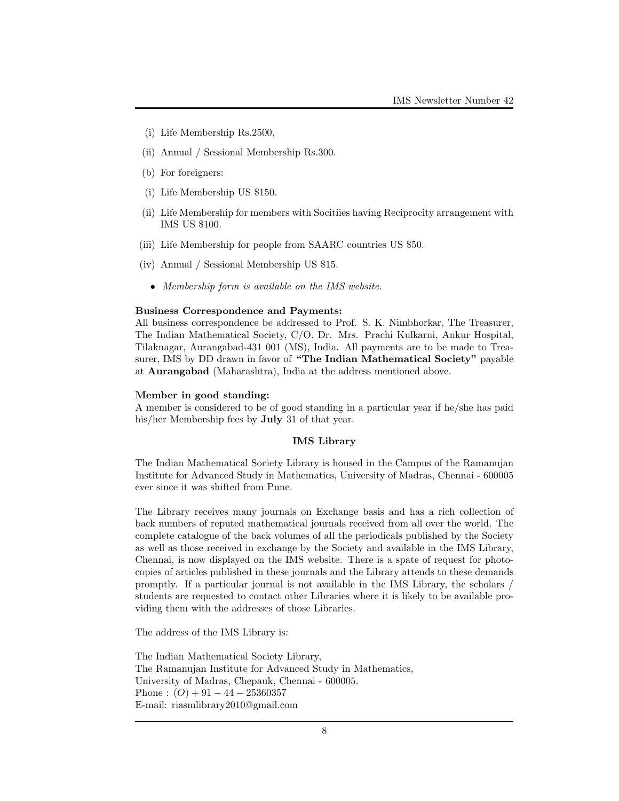- (i) Life Membership Rs.2500,
- (ii) Annual / Sessional Membership Rs.300.
- (b) For foreigners:
- (i) Life Membership US \$150.
- (ii) Life Membership for members with Socitiies having Reciprocity arrangement with IMS US \$100.
- (iii) Life Membership for people from SAARC countries US \$50.
- (iv) Annual / Sessional Membership US \$15.
	- Membership form is available on the IMS website.

#### Business Correspondence and Payments:

All business correspondence be addressed to Prof. S. K. Nimbhorkar, The Treasurer, The Indian Mathematical Society, C/O. Dr. Mrs. Prachi Kulkarni, Ankur Hospital, Tilaknagar, Aurangabad-431 001 (MS), India. All payments are to be made to Treasurer, IMS by DD drawn in favor of "The Indian Mathematical Society" payable at Aurangabad (Maharashtra), India at the address mentioned above.

#### Member in good standing:

A member is considered to be of good standing in a particular year if he/she has paid his/her Membership fees by July 31 of that year.

### IMS Library

The Indian Mathematical Society Library is housed in the Campus of the Ramanujan Institute for Advanced Study in Mathematics, University of Madras, Chennai - 600005 ever since it was shifted from Pune.

The Library receives many journals on Exchange basis and has a rich collection of back numbers of reputed mathematical journals received from all over the world. The complete catalogue of the back volumes of all the periodicals published by the Society as well as those received in exchange by the Society and available in the IMS Library, Chennai, is now displayed on the IMS website. There is a spate of request for photocopies of articles published in these journals and the Library attends to these demands promptly. If a particular journal is not available in the IMS Library, the scholars / students are requested to contact other Libraries where it is likely to be available providing them with the addresses of those Libraries.

The address of the IMS Library is:

The Indian Mathematical Society Library, The Ramanujan Institute for Advanced Study in Mathematics, University of Madras, Chepauk, Chennai - 600005. Phone :  $(O) + 91 - 44 - 25360357$ E-mail: riasmlibrary2010@gmail.com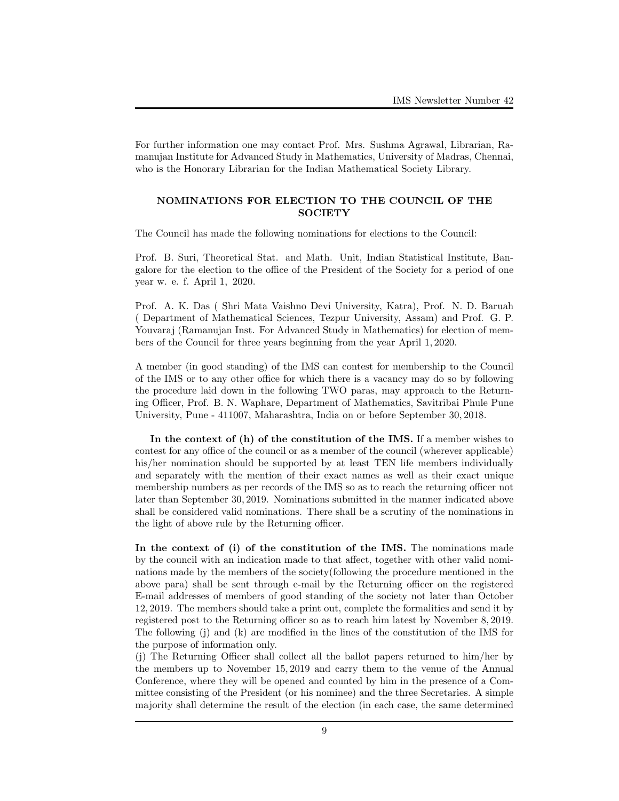For further information one may contact Prof. Mrs. Sushma Agrawal, Librarian, Ramanujan Institute for Advanced Study in Mathematics, University of Madras, Chennai, who is the Honorary Librarian for the Indian Mathematical Society Library.

## NOMINATIONS FOR ELECTION TO THE COUNCIL OF THE **SOCIETY**

The Council has made the following nominations for elections to the Council:

Prof. B. Suri, Theoretical Stat. and Math. Unit, Indian Statistical Institute, Bangalore for the election to the office of the President of the Society for a period of one year w. e. f. April 1, 2020.

Prof. A. K. Das ( Shri Mata Vaishno Devi University, Katra), Prof. N. D. Baruah ( Department of Mathematical Sciences, Tezpur University, Assam) and Prof. G. P. Youvaraj (Ramanujan Inst. For Advanced Study in Mathematics) for election of members of the Council for three years beginning from the year April 1, 2020.

A member (in good standing) of the IMS can contest for membership to the Council of the IMS or to any other office for which there is a vacancy may do so by following the procedure laid down in the following TWO paras, may approach to the Returning Officer, Prof. B. N. Waphare, Department of Mathematics, Savitribai Phule Pune University, Pune - 411007, Maharashtra, India on or before September 30, 2018.

In the context of (h) of the constitution of the IMS. If a member wishes to contest for any office of the council or as a member of the council (wherever applicable) his/her nomination should be supported by at least TEN life members individually and separately with the mention of their exact names as well as their exact unique membership numbers as per records of the IMS so as to reach the returning officer not later than September 30, 2019. Nominations submitted in the manner indicated above shall be considered valid nominations. There shall be a scrutiny of the nominations in the light of above rule by the Returning officer.

In the context of (i) of the constitution of the IMS. The nominations made by the council with an indication made to that affect, together with other valid nominations made by the members of the society(following the procedure mentioned in the above para) shall be sent through e-mail by the Returning officer on the registered E-mail addresses of members of good standing of the society not later than October 12, 2019. The members should take a print out, complete the formalities and send it by registered post to the Returning officer so as to reach him latest by November 8, 2019. The following (j) and (k) are modified in the lines of the constitution of the IMS for the purpose of information only.

(j) The Returning Officer shall collect all the ballot papers returned to him/her by the members up to November 15, 2019 and carry them to the venue of the Annual Conference, where they will be opened and counted by him in the presence of a Committee consisting of the President (or his nominee) and the three Secretaries. A simple majority shall determine the result of the election (in each case, the same determined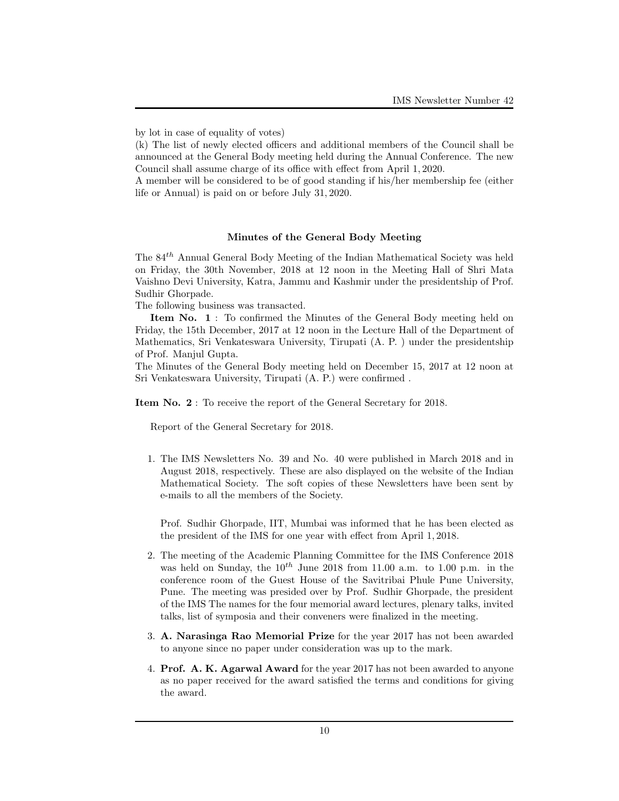(k) The list of newly elected officers and additional members of the Council shall be announced at the General Body meeting held during the Annual Conference. The new Council shall assume charge of its office with effect from April 1, 2020.

A member will be considered to be of good standing if his/her membership fee (either life or Annual) is paid on or before July 31, 2020.

### Minutes of the General Body Meeting

The 84th Annual General Body Meeting of the Indian Mathematical Society was held on Friday, the 30th November, 2018 at 12 noon in the Meeting Hall of Shri Mata Vaishno Devi University, Katra, Jammu and Kashmir under the presidentship of Prof. Sudhir Ghorpade.

The following business was transacted.

Item No. 1 : To confirmed the Minutes of the General Body meeting held on Friday, the 15th December, 2017 at 12 noon in the Lecture Hall of the Department of Mathematics, Sri Venkateswara University, Tirupati (A. P. ) under the presidentship of Prof. Manjul Gupta.

The Minutes of the General Body meeting held on December 15, 2017 at 12 noon at Sri Venkateswara University, Tirupati (A. P.) were confirmed .

Item No. 2 : To receive the report of the General Secretary for 2018.

Report of the General Secretary for 2018.

1. The IMS Newsletters No. 39 and No. 40 were published in March 2018 and in August 2018, respectively. These are also displayed on the website of the Indian Mathematical Society. The soft copies of these Newsletters have been sent by e-mails to all the members of the Society.

Prof. Sudhir Ghorpade, IIT, Mumbai was informed that he has been elected as the president of the IMS for one year with effect from April 1, 2018.

- 2. The meeting of the Academic Planning Committee for the IMS Conference 2018 was held on Sunday, the  $10^{th}$  June 2018 from 11.00 a.m. to 1.00 p.m. in the conference room of the Guest House of the Savitribai Phule Pune University, Pune. The meeting was presided over by Prof. Sudhir Ghorpade, the president of the IMS The names for the four memorial award lectures, plenary talks, invited talks, list of symposia and their conveners were finalized in the meeting.
- 3. A. Narasinga Rao Memorial Prize for the year 2017 has not been awarded to anyone since no paper under consideration was up to the mark.
- 4. Prof. A. K. Agarwal Award for the year 2017 has not been awarded to anyone as no paper received for the award satisfied the terms and conditions for giving the award.

by lot in case of equality of votes)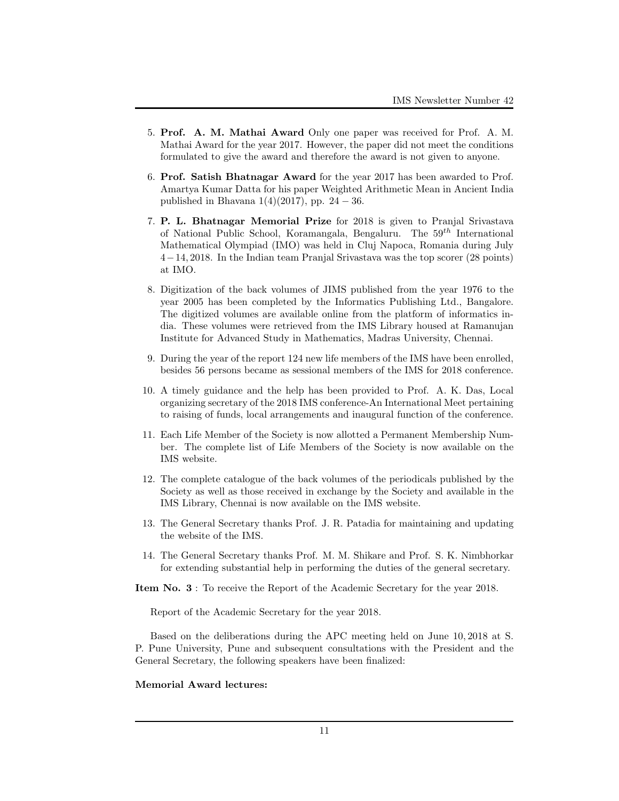- 5. Prof. A. M. Mathai Award Only one paper was received for Prof. A. M. Mathai Award for the year 2017. However, the paper did not meet the conditions formulated to give the award and therefore the award is not given to anyone.
- 6. Prof. Satish Bhatnagar Award for the year 2017 has been awarded to Prof. Amartya Kumar Datta for his paper Weighted Arithmetic Mean in Ancient India published in Bhavana  $1(4)(2017)$ , pp.  $24 - 36$ .
- 7. P. L. Bhatnagar Memorial Prize for 2018 is given to Pranjal Srivastava of National Public School, Koramangala, Bengaluru. The  $59<sup>th</sup>$  International Mathematical Olympiad (IMO) was held in Cluj Napoca, Romania during July 4−14, 2018. In the Indian team Pranjal Srivastava was the top scorer (28 points) at IMO.
- 8. Digitization of the back volumes of JIMS published from the year 1976 to the year 2005 has been completed by the Informatics Publishing Ltd., Bangalore. The digitized volumes are available online from the platform of informatics india. These volumes were retrieved from the IMS Library housed at Ramanujan Institute for Advanced Study in Mathematics, Madras University, Chennai.
- 9. During the year of the report 124 new life members of the IMS have been enrolled, besides 56 persons became as sessional members of the IMS for 2018 conference.
- 10. A timely guidance and the help has been provided to Prof. A. K. Das, Local organizing secretary of the 2018 IMS conference-An International Meet pertaining to raising of funds, local arrangements and inaugural function of the conference.
- 11. Each Life Member of the Society is now allotted a Permanent Membership Number. The complete list of Life Members of the Society is now available on the IMS website.
- 12. The complete catalogue of the back volumes of the periodicals published by the Society as well as those received in exchange by the Society and available in the IMS Library, Chennai is now available on the IMS website.
- 13. The General Secretary thanks Prof. J. R. Patadia for maintaining and updating the website of the IMS.
- 14. The General Secretary thanks Prof. M. M. Shikare and Prof. S. K. Nimbhorkar for extending substantial help in performing the duties of the general secretary.

Item No. 3 : To receive the Report of the Academic Secretary for the year 2018.

Report of the Academic Secretary for the year 2018.

Based on the deliberations during the APC meeting held on June 10, 2018 at S. P. Pune University, Pune and subsequent consultations with the President and the General Secretary, the following speakers have been finalized:

### Memorial Award lectures: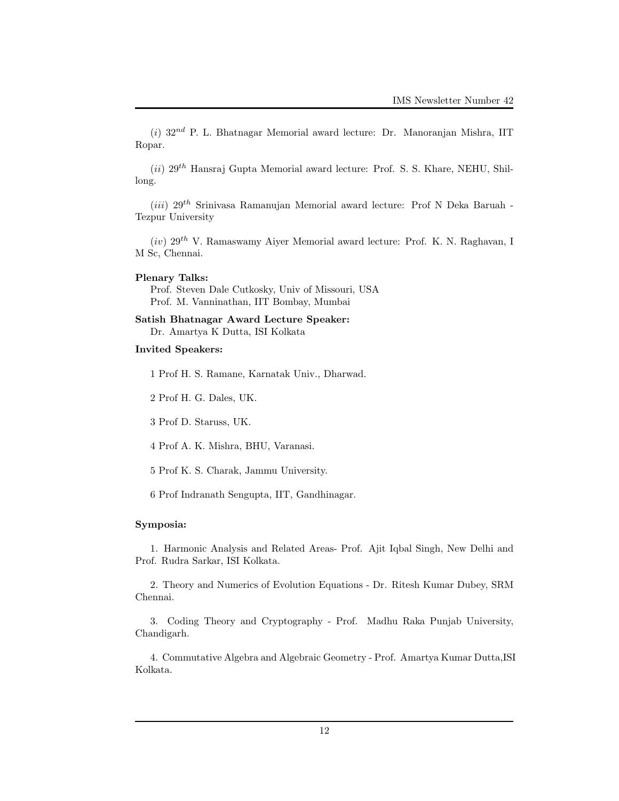$(i)$  32<sup>nd</sup> P. L. Bhatnagar Memorial award lecture: Dr. Manoranjan Mishra, IIT Ropar.

 $(ii)$  29<sup>th</sup> Hansraj Gupta Memorial award lecture: Prof. S. S. Khare, NEHU, Shillong.

 $(iii)$  29<sup>th</sup> Srinivasa Ramanujan Memorial award lecture: Prof N Deka Baruah -Tezpur University

 $(iv)$  29<sup>th</sup> V. Ramaswamy Aiyer Memorial award lecture: Prof. K. N. Raghavan, I M Sc, Chennai.

#### Plenary Talks:

Prof. Steven Dale Cutkosky, Univ of Missouri, USA Prof. M. Vanninathan, IIT Bombay, Mumbai

## Satish Bhatnagar Award Lecture Speaker: Dr. Amartya K Dutta, ISI Kolkata

#### Invited Speakers:

1 Prof H. S. Ramane, Karnatak Univ., Dharwad.

2 Prof H. G. Dales, UK.

3 Prof D. Staruss, UK.

4 Prof A. K. Mishra, BHU, Varanasi.

5 Prof K. S. Charak, Jammu University.

6 Prof Indranath Sengupta, IIT, Gandhinagar.

#### Symposia:

1. Harmonic Analysis and Related Areas- Prof. Ajit Iqbal Singh, New Delhi and Prof. Rudra Sarkar, ISI Kolkata.

2. Theory and Numerics of Evolution Equations - Dr. Ritesh Kumar Dubey, SRM Chennai.

3. Coding Theory and Cryptography - Prof. Madhu Raka Punjab University, Chandigarh.

4. Commutative Algebra and Algebraic Geometry - Prof. Amartya Kumar Dutta,ISI Kolkata.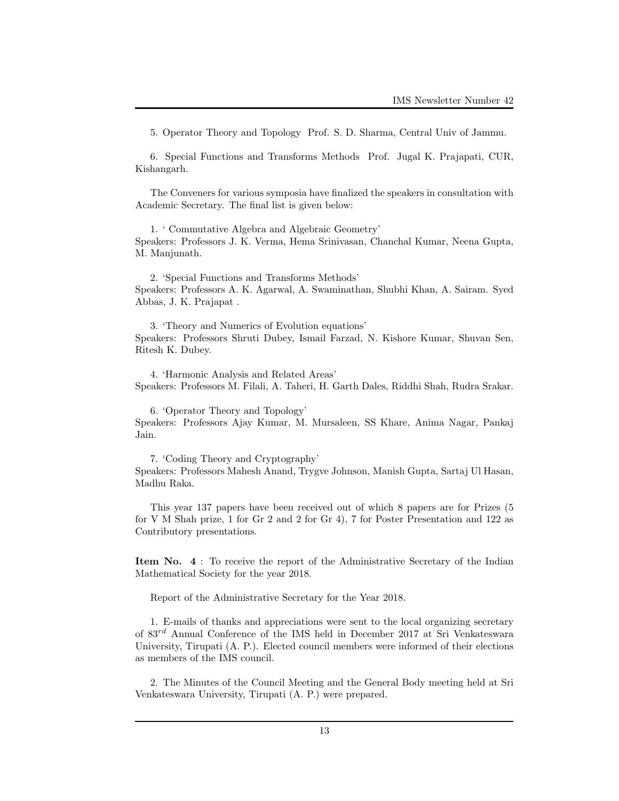5. Operator Theory and Topology Prof. S. D. Sharma, Central Univ of Jammu.

6. Special Functions and Transforms Methods Prof. Jugal K. Prajapati, CUR, Kishangarh.

The Conveners for various symposia have finalized the speakers in consultation with Academic Secretary. The final list is given below:

1. ' Commutative Algebra and Algebraic Geometry' Speakers: Professors J. K. Verma, Hema Srinivasan, Chanchal Kumar, Neena Gupta, M. Manjunath.

2. 'Special Functions and Transforms Methods' Speakers: Professors A. K. Agarwal, A. Swaminathan, Shubhi Khan, A. Sairam. Syed Abbas, J. K. Prajapat .

3. 'Theory and Numerics of Evolution equations' Speakers: Professors Shruti Dubey, Ismail Farzad, N. Kishore Kumar, Shuvan Sen, Ritesh K. Dubey.

4. 'Harmonic Analysis and Related Areas' Speakers: Professors M. Filali, A. Taheri, H. Garth Dales, Riddhi Shah, Rudra Srakar.

6. 'Operator Theory and Topology' Speakers: Professors Ajay Kumar, M. Mursaleen, SS Khare, Anima Nagar, Pankaj Jain.

7. 'Coding Theory and Cryptography' Speakers: Professors Mahesh Anand, Trygve Johnson, Manish Gupta, Sartaj Ul Hasan, Madhu Raka.

This year 137 papers have been received out of which 8 papers are for Prizes (5 for V M Shah prize, 1 for Gr 2 and 2 for Gr 4), 7 for Poster Presentation and 122 as Contributory presentations.

Item No. 4 : To receive the report of the Administrative Secretary of the Indian Mathematical Society for the year 2018.

Report of the Administrative Secretary for the Year 2018.

1. E-mails of thanks and appreciations were sent to the local organizing secretary of 83rd Annual Conference of the IMS held in December 2017 at Sri Venkateswara University, Tirupati (A. P.). Elected council members were informed of their elections as members of the IMS council.

2. The Minutes of the Council Meeting and the General Body meeting held at Sri Venkateswara University, Tirupati (A. P.) were prepared.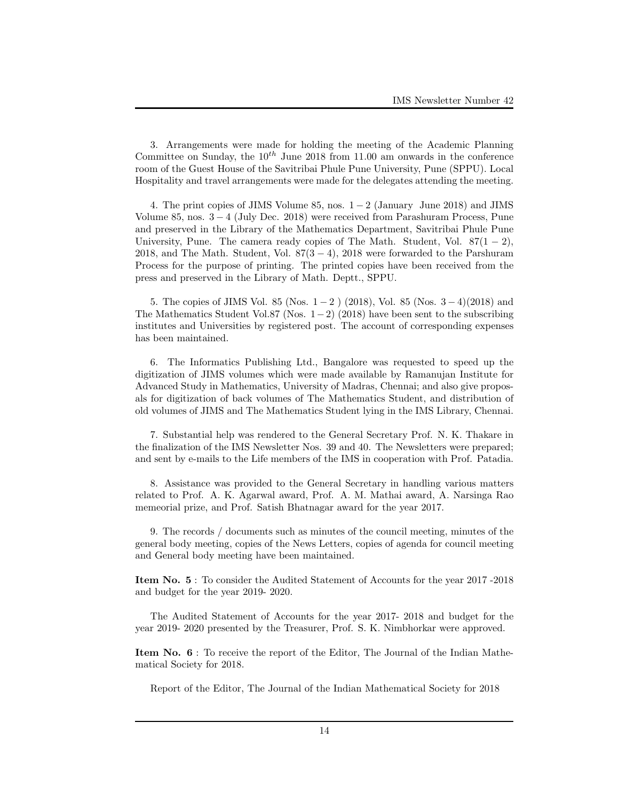3. Arrangements were made for holding the meeting of the Academic Planning Committee on Sunday, the  $10^{th}$  June 2018 from 11.00 am onwards in the conference room of the Guest House of the Savitribai Phule Pune University, Pune (SPPU). Local Hospitality and travel arrangements were made for the delegates attending the meeting.

4. The print copies of JIMS Volume 85, nos.  $1 - 2$  (January June 2018) and JIMS Volume 85, nos. 3 − 4 (July Dec. 2018) were received from Parashuram Process, Pune and preserved in the Library of the Mathematics Department, Savitribai Phule Pune University, Pune. The camera ready copies of The Math. Student, Vol.  $87(1-2)$ , 2018, and The Math. Student, Vol.  $87(3-4)$ , 2018 were forwarded to the Parshuram Process for the purpose of printing. The printed copies have been received from the press and preserved in the Library of Math. Deptt., SPPU.

5. The copies of JIMS Vol. 85 (Nos.  $1-2$ ) (2018), Vol. 85 (Nos.  $3-4$ )(2018) and The Mathematics Student Vol.87 (Nos.  $1-2$ ) (2018) have been sent to the subscribing institutes and Universities by registered post. The account of corresponding expenses has been maintained.

6. The Informatics Publishing Ltd., Bangalore was requested to speed up the digitization of JIMS volumes which were made available by Ramanujan Institute for Advanced Study in Mathematics, University of Madras, Chennai; and also give proposals for digitization of back volumes of The Mathematics Student, and distribution of old volumes of JIMS and The Mathematics Student lying in the IMS Library, Chennai.

7. Substantial help was rendered to the General Secretary Prof. N. K. Thakare in the finalization of the IMS Newsletter Nos. 39 and 40. The Newsletters were prepared; and sent by e-mails to the Life members of the IMS in cooperation with Prof. Patadia.

8. Assistance was provided to the General Secretary in handling various matters related to Prof. A. K. Agarwal award, Prof. A. M. Mathai award, A. Narsinga Rao memeorial prize, and Prof. Satish Bhatnagar award for the year 2017.

9. The records / documents such as minutes of the council meeting, minutes of the general body meeting, copies of the News Letters, copies of agenda for council meeting and General body meeting have been maintained.

Item No. 5 : To consider the Audited Statement of Accounts for the year 2017 -2018 and budget for the year 2019- 2020.

The Audited Statement of Accounts for the year 2017- 2018 and budget for the year 2019- 2020 presented by the Treasurer, Prof. S. K. Nimbhorkar were approved.

Item No. 6 : To receive the report of the Editor, The Journal of the Indian Mathematical Society for 2018.

Report of the Editor, The Journal of the Indian Mathematical Society for 2018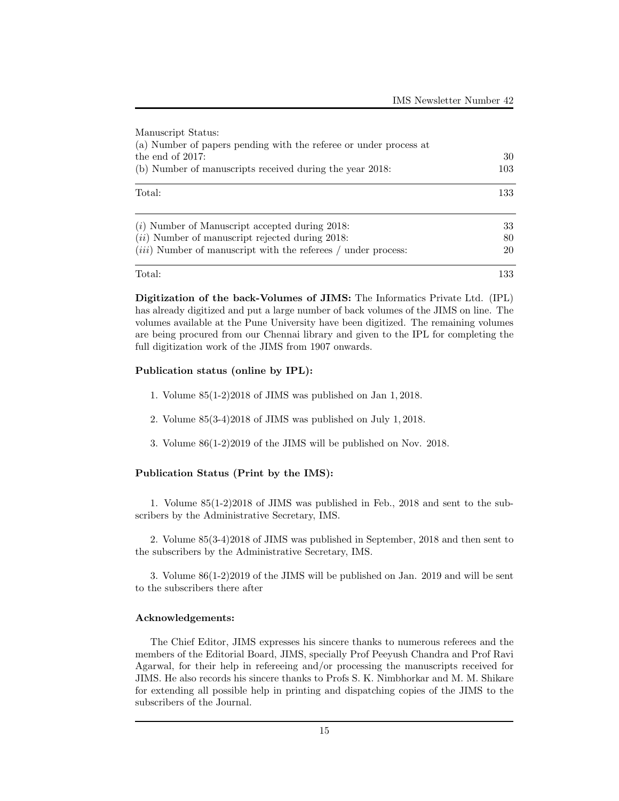| Manuscript Status:                                                   |     |
|----------------------------------------------------------------------|-----|
| (a) Number of papers pending with the referee or under process at    |     |
| the end of $2017$ :                                                  | 30  |
| (b) Number of manuscripts received during the year 2018:             | 103 |
| Total:                                                               | 133 |
| $(i)$ Number of Manuscript accepted during 2018:                     | 33  |
| $(ii)$ Number of manuscript rejected during 2018:                    | 80  |
| <i>(iii)</i> Number of manuscript with the referees / under process: | 20  |
| Total:                                                               | 133 |

Digitization of the back-Volumes of JIMS: The Informatics Private Ltd. (IPL) has already digitized and put a large number of back volumes of the JIMS on line. The volumes available at the Pune University have been digitized. The remaining volumes are being procured from our Chennai library and given to the IPL for completing the full digitization work of the JIMS from 1907 onwards.

### Publication status (online by IPL):

- 1. Volume 85(1-2)2018 of JIMS was published on Jan 1, 2018.
- 2. Volume 85(3-4)2018 of JIMS was published on July 1, 2018.
- 3. Volume 86(1-2)2019 of the JIMS will be published on Nov. 2018.

## Publication Status (Print by the IMS):

1. Volume 85(1-2)2018 of JIMS was published in Feb., 2018 and sent to the subscribers by the Administrative Secretary, IMS.

2. Volume 85(3-4)2018 of JIMS was published in September, 2018 and then sent to the subscribers by the Administrative Secretary, IMS.

3. Volume 86(1-2)2019 of the JIMS will be published on Jan. 2019 and will be sent to the subscribers there after

### Acknowledgements:

The Chief Editor, JIMS expresses his sincere thanks to numerous referees and the members of the Editorial Board, JIMS, specially Prof Peeyush Chandra and Prof Ravi Agarwal, for their help in refereeing and/or processing the manuscripts received for JIMS. He also records his sincere thanks to Profs S. K. Nimbhorkar and M. M. Shikare for extending all possible help in printing and dispatching copies of the JIMS to the subscribers of the Journal.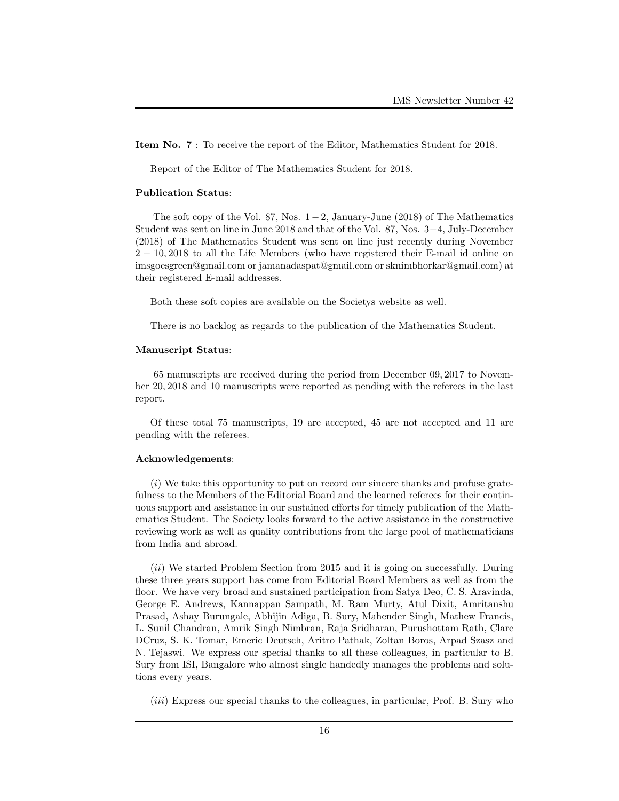Item No. 7 : To receive the report of the Editor, Mathematics Student for 2018.

Report of the Editor of The Mathematics Student for 2018.

#### Publication Status:

The soft copy of the Vol. 87, Nos.  $1-2$ , January-June (2018) of The Mathematics Student was sent on line in June 2018 and that of the Vol. 87, Nos. 3−4, July-December (2018) of The Mathematics Student was sent on line just recently during November 2 − 10, 2018 to all the Life Members (who have registered their E-mail id online on imsgoesgreen@gmail.com or jamanadaspat@gmail.com or sknimbhorkar@gmail.com) at their registered E-mail addresses.

Both these soft copies are available on the Societys website as well.

There is no backlog as regards to the publication of the Mathematics Student.

### Manuscript Status:

65 manuscripts are received during the period from December 09, 2017 to November 20, 2018 and 10 manuscripts were reported as pending with the referees in the last report.

Of these total 75 manuscripts, 19 are accepted, 45 are not accepted and 11 are pending with the referees.

#### Acknowledgements:

 $(i)$  We take this opportunity to put on record our sincere thanks and profuse gratefulness to the Members of the Editorial Board and the learned referees for their continuous support and assistance in our sustained efforts for timely publication of the Mathematics Student. The Society looks forward to the active assistance in the constructive reviewing work as well as quality contributions from the large pool of mathematicians from India and abroad.

(ii) We started Problem Section from 2015 and it is going on successfully. During these three years support has come from Editorial Board Members as well as from the floor. We have very broad and sustained participation from Satya Deo, C. S. Aravinda, George E. Andrews, Kannappan Sampath, M. Ram Murty, Atul Dixit, Amritanshu Prasad, Ashay Burungale, Abhijin Adiga, B. Sury, Mahender Singh, Mathew Francis, L. Sunil Chandran, Amrik Singh Nimbran, Raja Sridharan, Purushottam Rath, Clare DCruz, S. K. Tomar, Emeric Deutsch, Aritro Pathak, Zoltan Boros, Arpad Szasz and N. Tejaswi. We express our special thanks to all these colleagues, in particular to B. Sury from ISI, Bangalore who almost single handedly manages the problems and solutions every years.

(*iii*) Express our special thanks to the colleagues, in particular, Prof. B. Sury who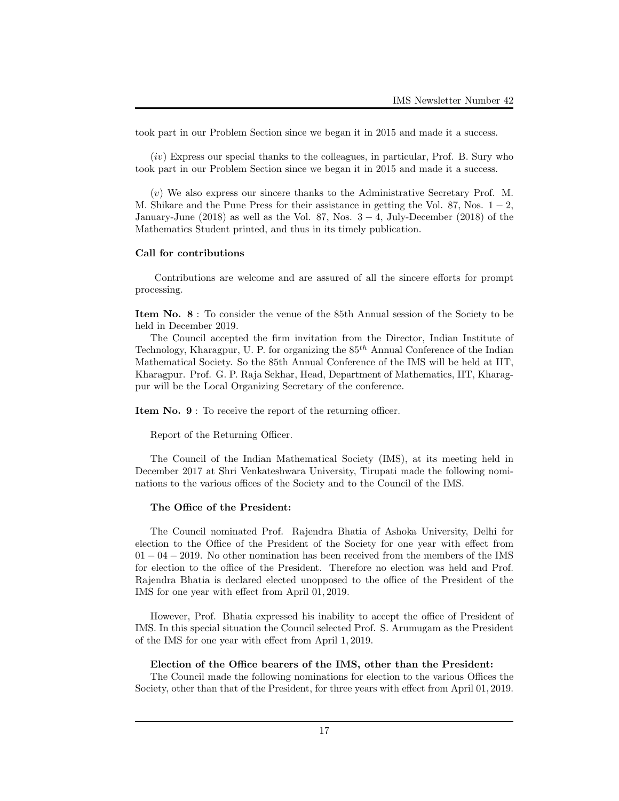took part in our Problem Section since we began it in 2015 and made it a success.

(iv) Express our special thanks to the colleagues, in particular, Prof. B. Sury who took part in our Problem Section since we began it in 2015 and made it a success.

(v) We also express our sincere thanks to the Administrative Secretary Prof. M. M. Shikare and the Pune Press for their assistance in getting the Vol. 87, Nos.  $1 - 2$ , January-June (2018) as well as the Vol. 87, Nos.  $3 - 4$ , July-December (2018) of the Mathematics Student printed, and thus in its timely publication.

#### Call for contributions

Contributions are welcome and are assured of all the sincere efforts for prompt processing.

Item No. 8 : To consider the venue of the 85th Annual session of the Society to be held in December 2019.

The Council accepted the firm invitation from the Director, Indian Institute of Technology, Kharagpur, U. P. for organizing the  $85<sup>th</sup>$  Annual Conference of the Indian Mathematical Society. So the 85th Annual Conference of the IMS will be held at IIT, Kharagpur. Prof. G. P. Raja Sekhar, Head, Department of Mathematics, IIT, Kharagpur will be the Local Organizing Secretary of the conference.

Item No. 9 : To receive the report of the returning officer.

Report of the Returning Officer.

The Council of the Indian Mathematical Society (IMS), at its meeting held in December 2017 at Shri Venkateshwara University, Tirupati made the following nominations to the various offices of the Society and to the Council of the IMS.

#### The Office of the President:

The Council nominated Prof. Rajendra Bhatia of Ashoka University, Delhi for election to the Office of the President of the Society for one year with effect from 01 − 04 − 2019. No other nomination has been received from the members of the IMS for election to the office of the President. Therefore no election was held and Prof. Rajendra Bhatia is declared elected unopposed to the office of the President of the IMS for one year with effect from April 01, 2019.

However, Prof. Bhatia expressed his inability to accept the office of President of IMS. In this special situation the Council selected Prof. S. Arumugam as the President of the IMS for one year with effect from April 1, 2019.

#### Election of the Office bearers of the IMS, other than the President:

The Council made the following nominations for election to the various Offices the Society, other than that of the President, for three years with effect from April 01, 2019.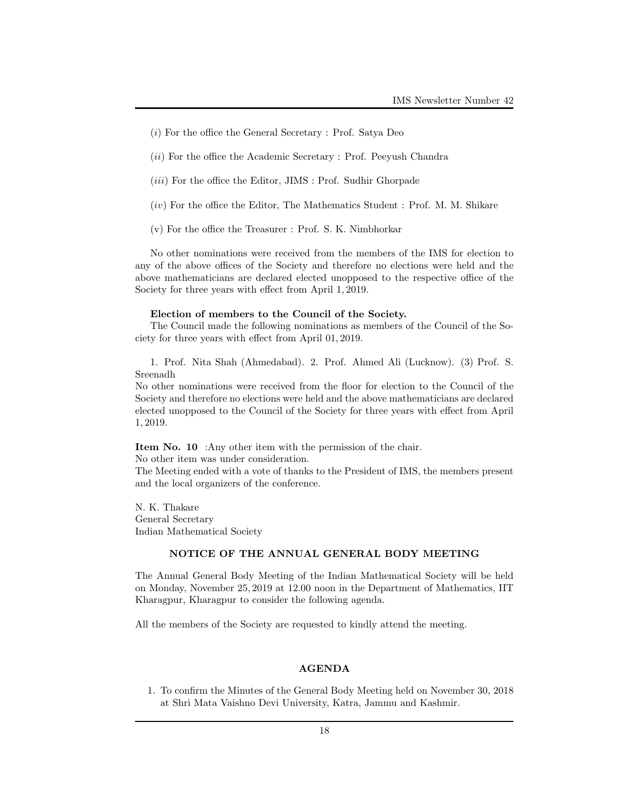- (i) For the office the General Secretary : Prof. Satya Deo
- (ii) For the office the Academic Secretary : Prof. Peeyush Chandra
- (*iii*) For the office the Editor, JIMS : Prof. Sudhir Ghorpade
- (iv) For the office the Editor, The Mathematics Student : Prof. M. M. Shikare
- (v) For the office the Treasurer : Prof. S. K. Nimbhorkar

No other nominations were received from the members of the IMS for election to any of the above offices of the Society and therefore no elections were held and the above mathematicians are declared elected unopposed to the respective office of the Society for three years with effect from April 1, 2019.

#### Election of members to the Council of the Society.

The Council made the following nominations as members of the Council of the Society for three years with effect from April 01, 2019.

1. Prof. Nita Shah (Ahmedabad). 2. Prof. Ahmed Ali (Lucknow). (3) Prof. S. Sreenadh

No other nominations were received from the floor for election to the Council of the Society and therefore no elections were held and the above mathematicians are declared elected unopposed to the Council of the Society for three years with effect from April 1, 2019.

Item No. 10 :Any other item with the permission of the chair.

No other item was under consideration.

The Meeting ended with a vote of thanks to the President of IMS, the members present and the local organizers of the conference.

N. K. Thakare General Secretary Indian Mathematical Society

### NOTICE OF THE ANNUAL GENERAL BODY MEETING

The Annual General Body Meeting of the Indian Mathematical Society will be held on Monday, November 25, 2019 at 12.00 noon in the Department of Mathematics, IIT Kharagpur, Kharagpur to consider the following agenda.

All the members of the Society are requested to kindly attend the meeting.

## AGENDA

1. To confirm the Minutes of the General Body Meeting held on November 30, 2018 at Shri Mata Vaishno Devi University, Katra, Jammu and Kashmir.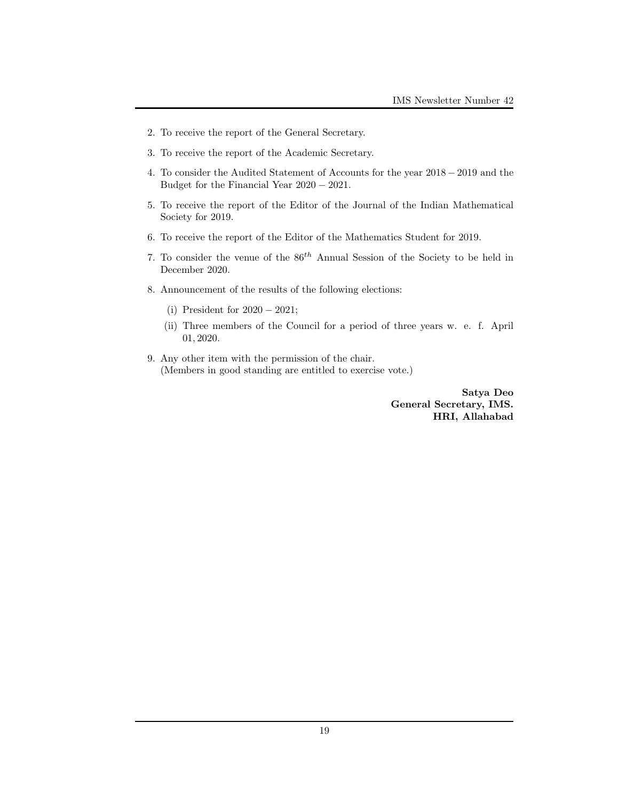- 2. To receive the report of the General Secretary.
- 3. To receive the report of the Academic Secretary.
- 4. To consider the Audited Statement of Accounts for the year 2018 − 2019 and the Budget for the Financial Year 2020 − 2021.
- 5. To receive the report of the Editor of the Journal of the Indian Mathematical Society for 2019.
- 6. To receive the report of the Editor of the Mathematics Student for 2019.
- 7. To consider the venue of the  $86<sup>th</sup>$  Annual Session of the Society to be held in December 2020.
- 8. Announcement of the results of the following elections:
	- (i) President for 2020 − 2021;
	- (ii) Three members of the Council for a period of three years w. e. f. April 01, 2020.
- 9. Any other item with the permission of the chair. (Members in good standing are entitled to exercise vote.)

Satya Deo General Secretary, IMS. HRI, Allahabad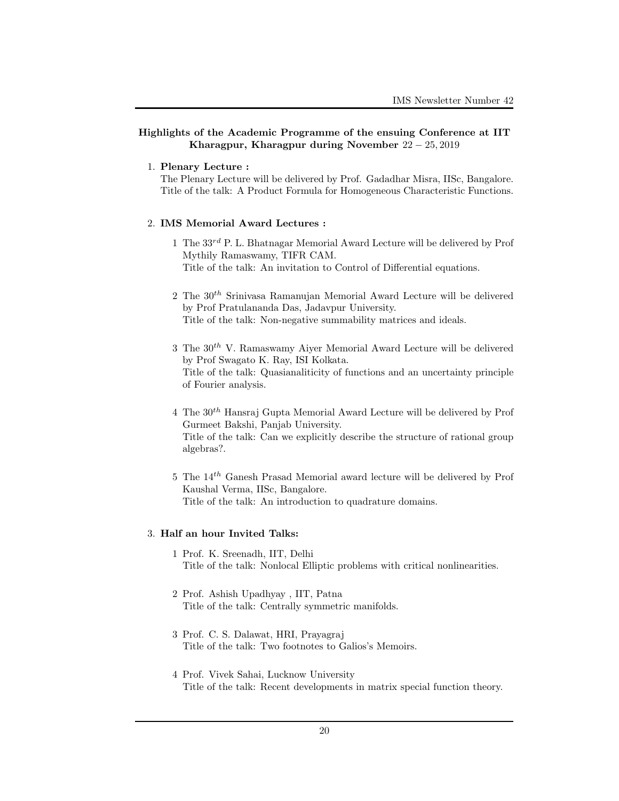## Highlights of the Academic Programme of the ensuing Conference at IIT Kharagpur, Kharagpur during November  $22 - 25,2019$

1. Plenary Lecture :

The Plenary Lecture will be delivered by Prof. Gadadhar Misra, IISc, Bangalore. Title of the talk: A Product Formula for Homogeneous Characteristic Functions.

## 2. IMS Memorial Award Lectures :

- 1 The  $33^{rd}$  P. L. Bhatnagar Memorial Award Lecture will be delivered by Prof Mythily Ramaswamy, TIFR CAM. Title of the talk: An invitation to Control of Differential equations.
- 2 The  $30<sup>th</sup>$  Srinivasa Ramanujan Memorial Award Lecture will be delivered by Prof Pratulananda Das, Jadavpur University. Title of the talk: Non-negative summability matrices and ideals.
- 3 The  $30<sup>th</sup>$  V. Ramaswamy Aiver Memorial Award Lecture will be delivered by Prof Swagato K. Ray, ISI Kolkata. Title of the talk: Quasianaliticity of functions and an uncertainty principle of Fourier analysis.
- 4 The  $30<sup>th</sup>$  Hansraj Gupta Memorial Award Lecture will be delivered by Prof Gurmeet Bakshi, Panjab University. Title of the talk: Can we explicitly describe the structure of rational group algebras?.
- 5 The  $14^{th}$  Ganesh Prasad Memorial award lecture will be delivered by Prof Kaushal Verma, IISc, Bangalore. Title of the talk: An introduction to quadrature domains.

### 3. Half an hour Invited Talks:

- 1 Prof. K. Sreenadh, IIT, Delhi Title of the talk: Nonlocal Elliptic problems with critical nonlinearities.
- 2 Prof. Ashish Upadhyay , IIT, Patna Title of the talk: Centrally symmetric manifolds.
- 3 Prof. C. S. Dalawat, HRI, Prayagraj Title of the talk: Two footnotes to Galios's Memoirs.
- 4 Prof. Vivek Sahai, Lucknow University Title of the talk: Recent developments in matrix special function theory.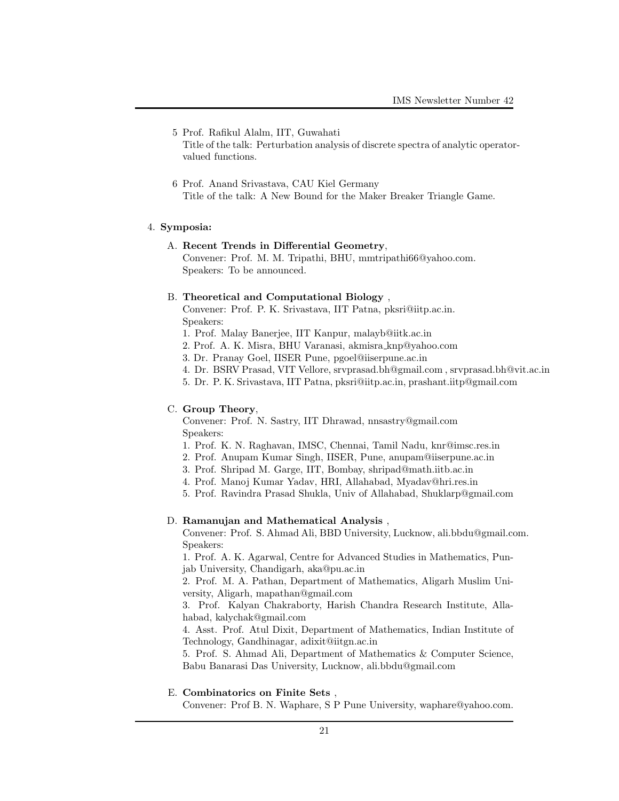- 5 Prof. Rafikul Alalm, IIT, Guwahati Title of the talk: Perturbation analysis of discrete spectra of analytic operatorvalued functions.
- 6 Prof. Anand Srivastava, CAU Kiel Germany Title of the talk: A New Bound for the Maker Breaker Triangle Game.

## 4. Symposia:

#### A. Recent Trends in Differential Geometry,

Convener: Prof. M. M. Tripathi, BHU, mmtripathi66@yahoo.com. Speakers: To be announced.

### B. Theoretical and Computational Biology ,

Convener: Prof. P. K. Srivastava, IIT Patna, pksri@iitp.ac.in. Speakers:

- 1. Prof. Malay Banerjee, IIT Kanpur, malayb@iitk.ac.in
- 2. Prof. A. K. Misra, BHU Varanasi, akmisra knp@yahoo.com
- 3. Dr. Pranay Goel, IISER Pune, pgoel@iiserpune.ac.in
- 4. Dr. BSRV Prasad, VIT Vellore, srvprasad.bh@gmail.com , srvprasad.bh@vit.ac.in
- 5. Dr. P. K. Srivastava, IIT Patna, pksri@iitp.ac.in, prashant.iitp@gmail.com

#### C. Group Theory,

Convener: Prof. N. Sastry, IIT Dhrawad, nnsastry@gmail.com Speakers:

- 1. Prof. K. N. Raghavan, IMSC, Chennai, Tamil Nadu, knr@imsc.res.in
- 2. Prof. Anupam Kumar Singh, IISER, Pune, anupam@iiserpune.ac.in
- 3. Prof. Shripad M. Garge, IIT, Bombay, shripad@math.iitb.ac.in
- 4. Prof. Manoj Kumar Yadav, HRI, Allahabad, Myadav@hri.res.in
- 5. Prof. Ravindra Prasad Shukla, Univ of Allahabad, Shuklarp@gmail.com

### D. Ramanujan and Mathematical Analysis ,

Convener: Prof. S. Ahmad Ali, BBD University, Lucknow, ali.bbdu@gmail.com. Speakers:

1. Prof. A. K. Agarwal, Centre for Advanced Studies in Mathematics, Punjab University, Chandigarh, aka@pu.ac.in

2. Prof. M. A. Pathan, Department of Mathematics, Aligarh Muslim University, Aligarh, mapathan@gmail.com

3. Prof. Kalyan Chakraborty, Harish Chandra Research Institute, Allahabad, kalychak@gmail.com

4. Asst. Prof. Atul Dixit, Department of Mathematics, Indian Institute of Technology, Gandhinagar, adixit@iitgn.ac.in

5. Prof. S. Ahmad Ali, Department of Mathematics & Computer Science, Babu Banarasi Das University, Lucknow, ali.bbdu@gmail.com

#### E. Combinatorics on Finite Sets ,

Convener: Prof B. N. Waphare, S P Pune University, waphare@yahoo.com.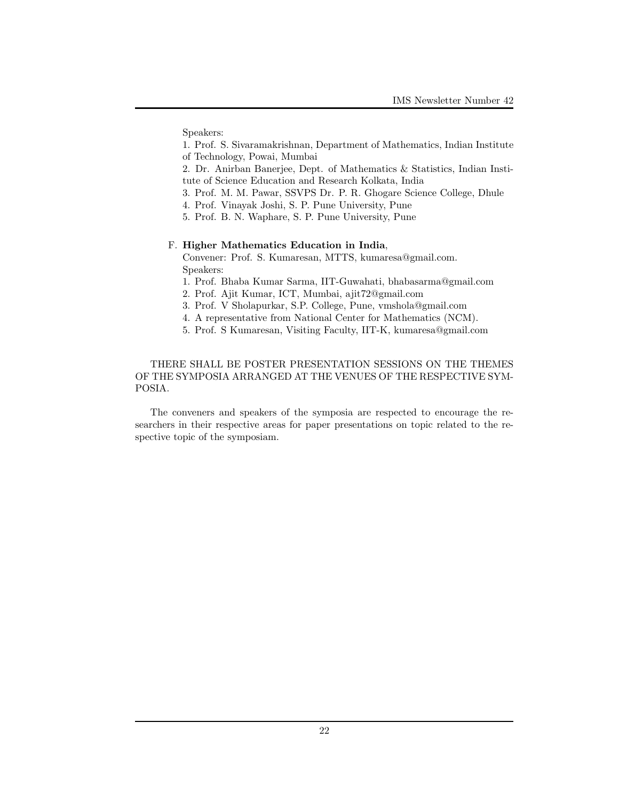Speakers:

- 1. Prof. S. Sivaramakrishnan, Department of Mathematics, Indian Institute of Technology, Powai, Mumbai
- 2. Dr. Anirban Banerjee, Dept. of Mathematics & Statistics, Indian Institute of Science Education and Research Kolkata, India
- 3. Prof. M. M. Pawar, SSVPS Dr. P. R. Ghogare Science College, Dhule
- 4. Prof. Vinayak Joshi, S. P. Pune University, Pune
- 5. Prof. B. N. Waphare, S. P. Pune University, Pune

### F. Higher Mathematics Education in India,

Convener: Prof. S. Kumaresan, MTTS, kumaresa@gmail.com. Speakers:

- 1. Prof. Bhaba Kumar Sarma, IIT-Guwahati, bhabasarma@gmail.com
- 2. Prof. Ajit Kumar, ICT, Mumbai, ajit72@gmail.com
- 3. Prof. V Sholapurkar, S.P. College, Pune, vmshola@gmail.com
- 4. A representative from National Center for Mathematics (NCM).
- 5. Prof. S Kumaresan, Visiting Faculty, IIT-K, kumaresa@gmail.com

## THERE SHALL BE POSTER PRESENTATION SESSIONS ON THE THEMES OF THE SYMPOSIA ARRANGED AT THE VENUES OF THE RESPECTIVE SYM-POSIA.

The conveners and speakers of the symposia are respected to encourage the researchers in their respective areas for paper presentations on topic related to the respective topic of the symposiam.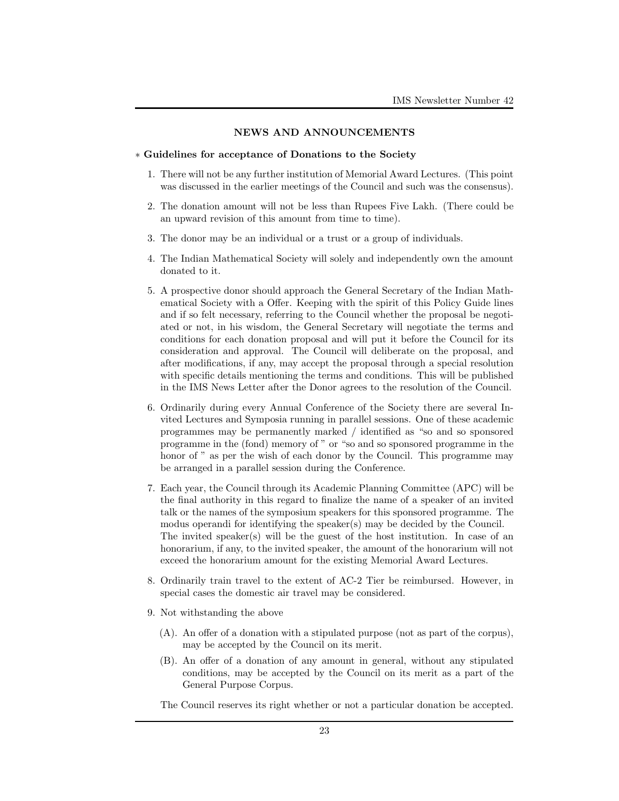### NEWS AND ANNOUNCEMENTS

#### ∗ Guidelines for acceptance of Donations to the Society

- 1. There will not be any further institution of Memorial Award Lectures. (This point was discussed in the earlier meetings of the Council and such was the consensus).
- 2. The donation amount will not be less than Rupees Five Lakh. (There could be an upward revision of this amount from time to time).
- 3. The donor may be an individual or a trust or a group of individuals.
- 4. The Indian Mathematical Society will solely and independently own the amount donated to it.
- 5. A prospective donor should approach the General Secretary of the Indian Mathematical Society with a Offer. Keeping with the spirit of this Policy Guide lines and if so felt necessary, referring to the Council whether the proposal be negotiated or not, in his wisdom, the General Secretary will negotiate the terms and conditions for each donation proposal and will put it before the Council for its consideration and approval. The Council will deliberate on the proposal, and after modifications, if any, may accept the proposal through a special resolution with specific details mentioning the terms and conditions. This will be published in the IMS News Letter after the Donor agrees to the resolution of the Council.
- 6. Ordinarily during every Annual Conference of the Society there are several Invited Lectures and Symposia running in parallel sessions. One of these academic programmes may be permanently marked / identified as "so and so sponsored programme in the (fond) memory of " or "so and so sponsored programme in the honor of " as per the wish of each donor by the Council. This programme may be arranged in a parallel session during the Conference.
- 7. Each year, the Council through its Academic Planning Committee (APC) will be the final authority in this regard to finalize the name of a speaker of an invited talk or the names of the symposium speakers for this sponsored programme. The modus operandi for identifying the speaker(s) may be decided by the Council. The invited speaker(s) will be the guest of the host institution. In case of an honorarium, if any, to the invited speaker, the amount of the honorarium will not exceed the honorarium amount for the existing Memorial Award Lectures.
- 8. Ordinarily train travel to the extent of AC-2 Tier be reimbursed. However, in special cases the domestic air travel may be considered.
- 9. Not withstanding the above
	- (A). An offer of a donation with a stipulated purpose (not as part of the corpus), may be accepted by the Council on its merit.
	- (B). An offer of a donation of any amount in general, without any stipulated conditions, may be accepted by the Council on its merit as a part of the General Purpose Corpus.

The Council reserves its right whether or not a particular donation be accepted.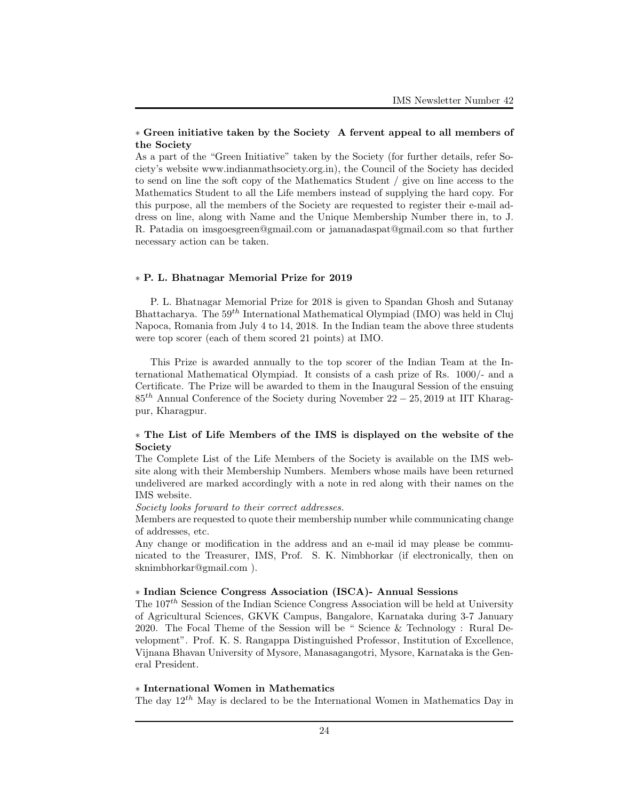## ∗ Green initiative taken by the Society A fervent appeal to all members of the Society

As a part of the "Green Initiative" taken by the Society (for further details, refer Society's website www.indianmathsociety.org.in), the Council of the Society has decided to send on line the soft copy of the Mathematics Student / give on line access to the Mathematics Student to all the Life members instead of supplying the hard copy. For this purpose, all the members of the Society are requested to register their e-mail address on line, along with Name and the Unique Membership Number there in, to J. R. Patadia on imsgoesgreen@gmail.com or jamanadaspat@gmail.com so that further necessary action can be taken.

### ∗ P. L. Bhatnagar Memorial Prize for 2019

P. L. Bhatnagar Memorial Prize for 2018 is given to Spandan Ghosh and Sutanay Bhattacharya. The  $59<sup>th</sup>$  International Mathematical Olympiad (IMO) was held in Cluj Napoca, Romania from July 4 to 14, 2018. In the Indian team the above three students were top scorer (each of them scored 21 points) at IMO.

This Prize is awarded annually to the top scorer of the Indian Team at the International Mathematical Olympiad. It consists of a cash prize of Rs. 1000/- and a Certificate. The Prize will be awarded to them in the Inaugural Session of the ensuing  $85<sup>th</sup>$  Annual Conference of the Society during November 22 – 25, 2019 at IIT Kharagpur, Kharagpur.

## ∗ The List of Life Members of the IMS is displayed on the website of the Society

The Complete List of the Life Members of the Society is available on the IMS website along with their Membership Numbers. Members whose mails have been returned undelivered are marked accordingly with a note in red along with their names on the IMS website.

Society looks forward to their correct addresses.

Members are requested to quote their membership number while communicating change of addresses, etc.

Any change or modification in the address and an e-mail id may please be communicated to the Treasurer, IMS, Prof. S. K. Nimbhorkar (if electronically, then on sknimbhorkar@gmail.com ).

## ∗ Indian Science Congress Association (ISCA)- Annual Sessions

The  $107<sup>th</sup>$  Session of the Indian Science Congress Association will be held at University of Agricultural Sciences, GKVK Campus, Bangalore, Karnataka during 3-7 January 2020. The Focal Theme of the Session will be " Science & Technology : Rural Development". Prof. K. S. Rangappa Distinguished Professor, Institution of Excellence, Vijnana Bhavan University of Mysore, Manasagangotri, Mysore, Karnataka is the General President.

### ∗ International Women in Mathematics

The day  $12^{th}$  May is declared to be the International Women in Mathematics Day in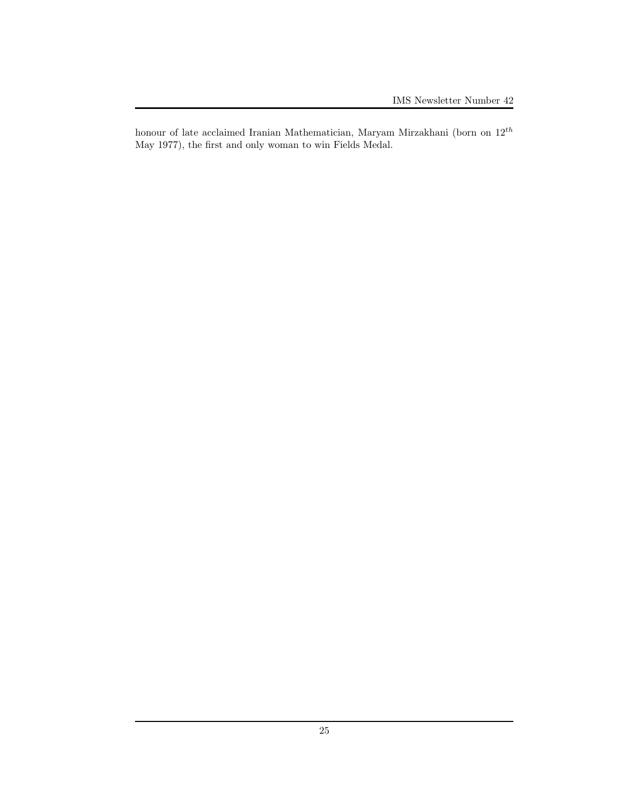honour of late acclaimed Iranian Mathematician, Maryam Mirzakhani (born on $12^{th}$ May 1977), the first and only woman to win Fields Medal.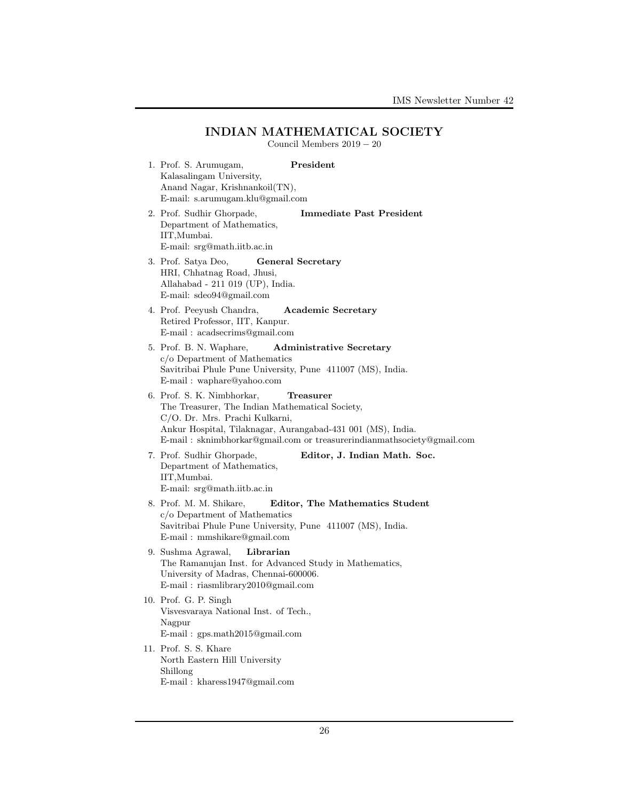# INDIAN MATHEMATICAL SOCIETY

Council Members 2019 − 20

| President<br>1. Prof. S. Arumugam,<br>Kalasalingam University,<br>Anand Nagar, Krishnankoil(TN),<br>E-mail: s.arumugam.klu@gmail.com                                                                                                                                         |
|------------------------------------------------------------------------------------------------------------------------------------------------------------------------------------------------------------------------------------------------------------------------------|
| 2. Prof. Sudhir Ghorpade,<br>Immediate Past President<br>Department of Mathematics,<br>IIT, Mumbai.<br>E-mail: srg@math.iitb.ac.in                                                                                                                                           |
| 3. Prof. Satya Deo,<br>General Secretary<br>HRI, Chhatnag Road, Jhusi,<br>Allahabad - 211 019 (UP), India.<br>E-mail: sdeo94@gmail.com                                                                                                                                       |
| 4. Prof. Peeyush Chandra,<br><b>Academic Secretary</b><br>Retired Professor, IIT, Kanpur.<br>E-mail: acadsecrims@gmail.com                                                                                                                                                   |
| 5. Prof. B. N. Waphare,<br><b>Administrative Secretary</b><br>$c/o$ Department of Mathematics<br>Savitribai Phule Pune University, Pune 411007 (MS), India.<br>E-mail: waphare@yahoo.com                                                                                     |
| 6. Prof. S. K. Nimbhorkar,<br><b>Treasurer</b><br>The Treasurer, The Indian Mathematical Society,<br>C/O. Dr. Mrs. Prachi Kulkarni,<br>Ankur Hospital, Tilaknagar, Aurangabad-431 001 (MS), India.<br>E-mail: sknimbhorkar@gmail.com or treasurerindianmathsociety@gmail.com |
| 7. Prof. Sudhir Ghorpade,<br>Editor, J. Indian Math. Soc.<br>Department of Mathematics,<br>IIT, Mumbai.<br>E-mail: srg@math.iitb.ac.in                                                                                                                                       |
| 8. Prof. M. M. Shikare, Editor, The Mathematics Student<br>$c/o$ Department of Mathematics<br>Savitribai Phule Pune University, Pune 411007 (MS), India.<br>$E$ -mail: mmshikare@gmail.com                                                                                   |
| 9. Sushma Agrawal, Librarian<br>The Ramanujan Inst. for Advanced Study in Mathematics,<br>University of Madras, Chennai-600006.<br>E-mail: riasmlibrary2010@gmail.com                                                                                                        |
| 10. Prof. G. P. Singh<br>Visvesvaraya National Inst. of Tech.,<br>Nagpur<br>E-mail: gps.math2015@gmail.com                                                                                                                                                                   |
| 11. Prof. S. S. Khare<br>North Eastern Hill University<br>Shillong<br>E-mail: kharess1947@gmail.com                                                                                                                                                                          |